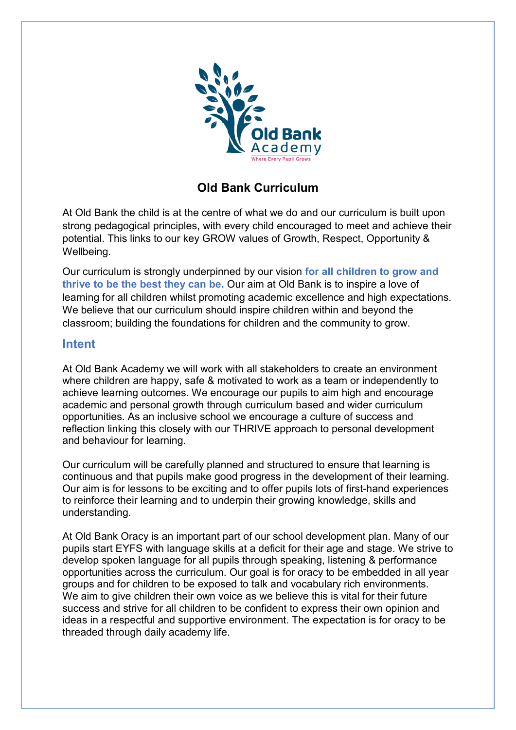

## **Old Bank Curriculum**

At Old Bank the child is at the centre of what we do and our curriculum is built upon strong pedagogical principles, with every child encouraged to meet and achieve their potential. This links to our key GROW values of Growth, Respect, Opportunity & Wellbeing.

Our curriculum is strongly underpinned by our vision **for all children to grow and thrive to be the best they can be.** Our aim at Old Bank is to inspire a love of learning for all children whilst promoting academic excellence and high expectations. We believe that our curriculum should inspire children within and beyond the classroom; building the foundations for children and the community to grow.

## **Intent**

At Old Bank Academy we will work with all stakeholders to create an environment where children are happy, safe & motivated to work as a team or independently to achieve learning outcomes. We encourage our pupils to aim high and encourage academic and personal growth through curriculum based and wider curriculum opportunities. As an inclusive school we encourage a culture of success and reflection linking this closely with our THRIVE approach to personal development and behaviour for learning.

Our curriculum will be carefully planned and structured to ensure that learning is continuous and that pupils make good progress in the development of their learning. Our aim is for lessons to be exciting and to offer pupils lots of first-hand experiences to reinforce their learning and to underpin their growing knowledge, skills and understanding.

At Old Bank Oracy is an important part of our school development plan. Many of our pupils start EYFS with language skills at a deficit for their age and stage. We strive to develop spoken language for all pupils through speaking, listening & performance opportunities across the curriculum. Our goal is for oracy to be embedded in all year groups and for children to be exposed to talk and vocabulary rich environments. We aim to give children their own voice as we believe this is vital for their future success and strive for all children to be confident to express their own opinion and ideas in a respectful and supportive environment. The expectation is for oracy to be threaded through daily academy life.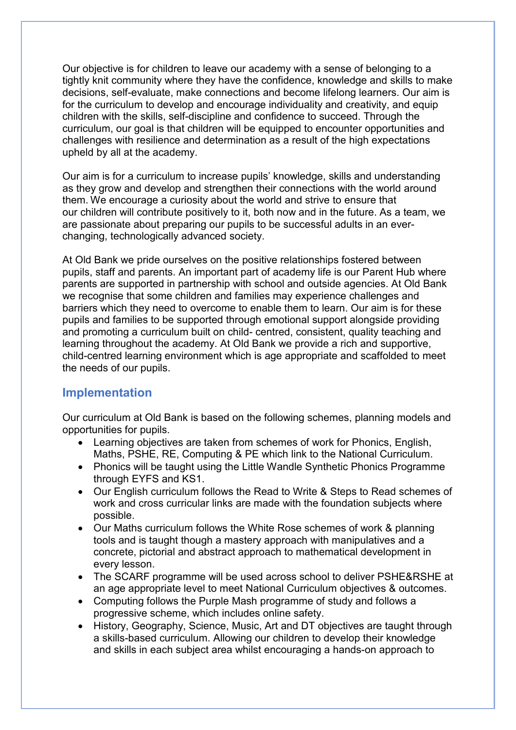Our objective is for children to leave our academy with a sense of belonging to a tightly knit community where they have the confidence, knowledge and skills to make decisions, self-evaluate, make connections and become lifelong learners. Our aim is for the curriculum to develop and encourage individuality and creativity, and equip children with the skills, self-discipline and confidence to succeed. Through the curriculum, our goal is that children will be equipped to encounter opportunities and challenges with resilience and determination as a result of the high expectations upheld by all at the academy.

Our aim is for a curriculum to increase pupils' knowledge, skills and understanding as they grow and develop and strengthen their connections with the world around them. We encourage a curiosity about the world and strive to ensure that our children will contribute positively to it, both now and in the future. As a team, we are passionate about preparing our pupils to be successful adults in an everchanging, technologically advanced society.

At Old Bank we pride ourselves on the positive relationships fostered between pupils, staff and parents. An important part of academy life is our Parent Hub where parents are supported in partnership with school and outside agencies. At Old Bank we recognise that some children and families may experience challenges and barriers which they need to overcome to enable them to learn. Our aim is for these pupils and families to be supported through emotional support alongside providing and promoting a curriculum built on child- centred, consistent, quality teaching and learning throughout the academy. At Old Bank we provide a rich and supportive, child-centred learning environment which is age appropriate and scaffolded to meet the needs of our pupils.

## **Implementation**

Our curriculum at Old Bank is based on the following schemes, planning models and opportunities for pupils.

- Learning objectives are taken from schemes of work for Phonics, English, Maths, PSHE, RE, Computing & PE which link to the National Curriculum.
- Phonics will be taught using the Little Wandle Synthetic Phonics Programme through EYFS and KS1.
- Our English curriculum follows the Read to Write & Steps to Read schemes of work and cross curricular links are made with the foundation subjects where possible.
- Our Maths curriculum follows the White Rose schemes of work & planning tools and is taught though a mastery approach with manipulatives and a concrete, pictorial and abstract approach to mathematical development in every lesson.
- The SCARF programme will be used across school to deliver PSHE&RSHE at an age appropriate level to meet National Curriculum objectives & outcomes.
- Computing follows the Purple Mash programme of study and follows a progressive scheme, which includes online safety.
- History, Geography, Science, Music, Art and DT objectives are taught through a skills-based curriculum. Allowing our children to develop their knowledge and skills in each subject area whilst encouraging a hands-on approach to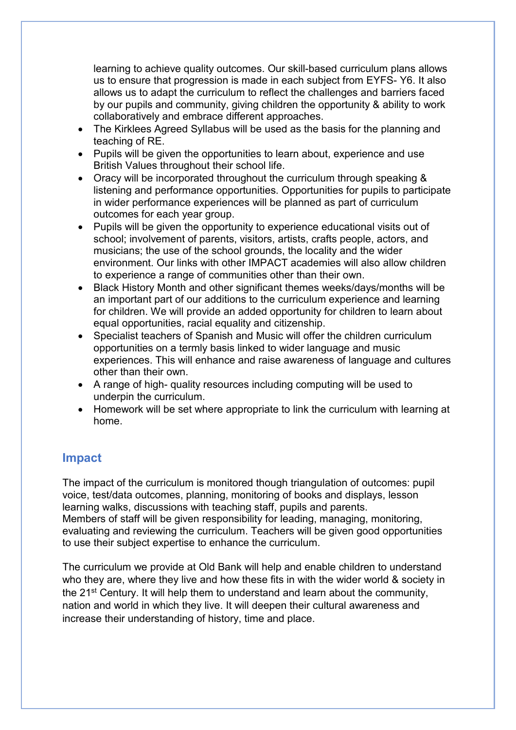learning to achieve quality outcomes. Our skill-based curriculum plans allows us to ensure that progression is made in each subject from EYFS- Y6. It also allows us to adapt the curriculum to reflect the challenges and barriers faced by our pupils and community, giving children the opportunity & ability to work collaboratively and embrace different approaches.

- The Kirklees Agreed Syllabus will be used as the basis for the planning and teaching of RE.
- Pupils will be given the opportunities to learn about, experience and use British Values throughout their school life.
- Oracy will be incorporated throughout the curriculum through speaking & listening and performance opportunities. Opportunities for pupils to participate in wider performance experiences will be planned as part of curriculum outcomes for each year group.
- Pupils will be given the opportunity to experience educational visits out of school; involvement of parents, visitors, artists, crafts people, actors, and musicians; the use of the school grounds, the locality and the wider environment. Our links with other IMPACT academies will also allow children to experience a range of communities other than their own.
- Black History Month and other significant themes weeks/days/months will be an important part of our additions to the curriculum experience and learning for children. We will provide an added opportunity for children to learn about equal opportunities, racial equality and citizenship.
- Specialist teachers of Spanish and Music will offer the children curriculum opportunities on a termly basis linked to wider language and music experiences. This will enhance and raise awareness of language and cultures other than their own.
- A range of high- quality resources including computing will be used to underpin the curriculum.
- Homework will be set where appropriate to link the curriculum with learning at home.

## **Impact**

The impact of the curriculum is monitored though triangulation of outcomes: pupil voice, test/data outcomes, planning, monitoring of books and displays, lesson learning walks, discussions with teaching staff, pupils and parents. Members of staff will be given responsibility for leading, managing, monitoring, evaluating and reviewing the curriculum. Teachers will be given good opportunities to use their subject expertise to enhance the curriculum.

The curriculum we provide at Old Bank will help and enable children to understand who they are, where they live and how these fits in with the wider world & society in the 21st Century. It will help them to understand and learn about the community, nation and world in which they live. It will deepen their cultural awareness and increase their understanding of history, time and place.